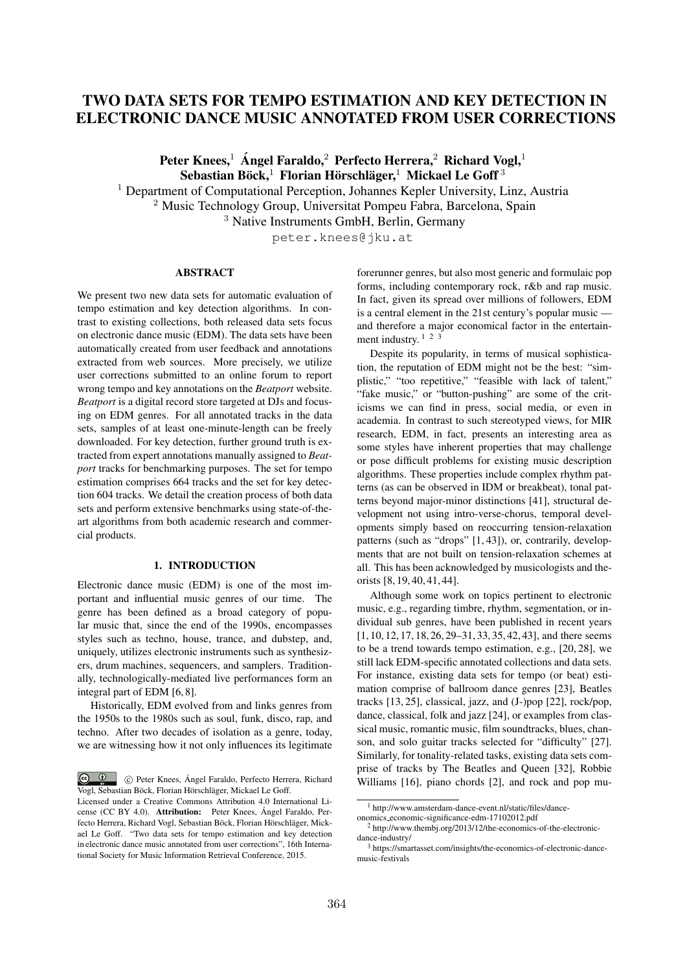# TWO DATA SETS FOR TEMPO ESTIMATION AND KEY DETECTION IN ELECTRONIC DANCE MUSIC ANNOTATED FROM USER CORRECTIONS

Peter Knees,<sup>1</sup> Angel Faraldo,<sup>2</sup> Perfecto Herrera,<sup>2</sup> Richard Vogl,<sup>1</sup>  $\overline{\text{Sebastian Böck}}$ . Florian Hörschläger, $\frac{1}{2}$  Mickael Le Goff<sup>3</sup>

<sup>1</sup> Department of Computational Perception, Johannes Kepler University, Linz, Austria <sup>2</sup> Music Technology Group, Universitat Pompeu Fabra, Barcelona, Spain

<sup>3</sup> Native Instruments GmbH, Berlin, Germany

peter.knees@jku.at

# ABSTRACT

We present two new data sets for automatic evaluation of tempo estimation and key detection algorithms. In contrast to existing collections, both released data sets focus on electronic dance music (EDM). The data sets have been automatically created from user feedback and annotations extracted from web sources. More precisely, we utilize user corrections submitted to an online forum to report wrong tempo and key annotations on the *Beatport* website. *Beatport* is a digital record store targeted at DJs and focusing on EDM genres. For all annotated tracks in the data sets, samples of at least one-minute-length can be freely downloaded. For key detection, further ground truth is extracted from expert annotations manually assigned to *Beatport* tracks for benchmarking purposes. The set for tempo estimation comprises 664 tracks and the set for key detection 604 tracks. We detail the creation process of both data sets and perform extensive benchmarks using state-of-theart algorithms from both academic research and commercial products.

# 1. INTRODUCTION

Electronic dance music (EDM) is one of the most important and influential music genres of our time. The genre has been defined as a broad category of popular music that, since the end of the 1990s, encompasses styles such as techno, house, trance, and dubstep, and, uniquely, utilizes electronic instruments such as synthesizers, drum machines, sequencers, and samplers. Traditionally, technologically-mediated live performances form an integral part of EDM [6, 8].

Historically, EDM evolved from and links genres from the 1950s to the 1980s such as soul, funk, disco, rap, and techno. After two decades of isolation as a genre, today, we are witnessing how it not only influences its legitimate forerunner genres, but also most generic and formulaic pop forms, including contemporary rock, r&b and rap music. In fact, given its spread over millions of followers, EDM is a central element in the 21st century's popular music and therefore a major economical factor in the entertainment industry.  $1 \tcdot 2 \tcdot 3$ 

Despite its popularity, in terms of musical sophistication, the reputation of EDM might not be the best: "simplistic," "too repetitive," "feasible with lack of talent," "fake music," or "button-pushing" are some of the criticisms we can find in press, social media, or even in academia. In contrast to such stereotyped views, for MIR research, EDM, in fact, presents an interesting area as some styles have inherent properties that may challenge or pose difficult problems for existing music description algorithms. These properties include complex rhythm patterns (as can be observed in IDM or breakbeat), tonal patterns beyond major-minor distinctions [41], structural development not using intro-verse-chorus, temporal developments simply based on reoccurring tension-relaxation patterns (such as "drops" [1, 43]), or, contrarily, developments that are not built on tension-relaxation schemes at all. This has been acknowledged by musicologists and theorists [8, 19, 40, 41, 44].

Although some work on topics pertinent to electronic music, e.g., regarding timbre, rhythm, segmentation, or individual sub genres, have been published in recent years [1, 10, 12, 17, 18, 26, 29–31, 33, 35, 42, 43], and there seems to be a trend towards tempo estimation, e.g., [20, 28], we still lack EDM-specific annotated collections and data sets. For instance, existing data sets for tempo (or beat) estimation comprise of ballroom dance genres [23], Beatles tracks [13, 25], classical, jazz, and (J-)pop [22], rock/pop, dance, classical, folk and jazz [24], or examples from classical music, romantic music, film soundtracks, blues, chanson, and solo guitar tracks selected for "difficulty" [27]. Similarly, for tonality-related tasks, existing data sets comprise of tracks by The Beatles and Queen [32], Robbie Williams [16], piano chords [2], and rock and pop mu-

 $\circ$   $\circ$ <sup>c</sup> Peter Knees, Angel Faraldo, Perfecto Herrera, Richard ´ Vogl, Sebastian Böck, Florian Hörschläger, Mickael Le Goff.

Licensed under a Creative Commons Attribution 4.0 International License (CC BY 4.0). Attribution: Peter Knees, Ángel Faraldo, Perfecto Herrera, Richard Vogl, Sebastian Böck, Florian Hörschläger, Mickael Le Goff. "Two data sets for tempo estimation and key detection in electronic dance music annotated from user corrections", 16th International Society for Music Information Retrieval Conference, 2015.

<sup>1</sup> http://www.amsterdam-dance-event.nl/static/files/danceonomics economic-significance-edm-17102012.pdf

<sup>2</sup> http://www.thembj.org/2013/12/the-economics-of-the-electronicdance-industry/

<sup>&</sup>lt;sup>3</sup> https://smartasset.com/insights/the-economics-of-electronic-dancemusic-festivals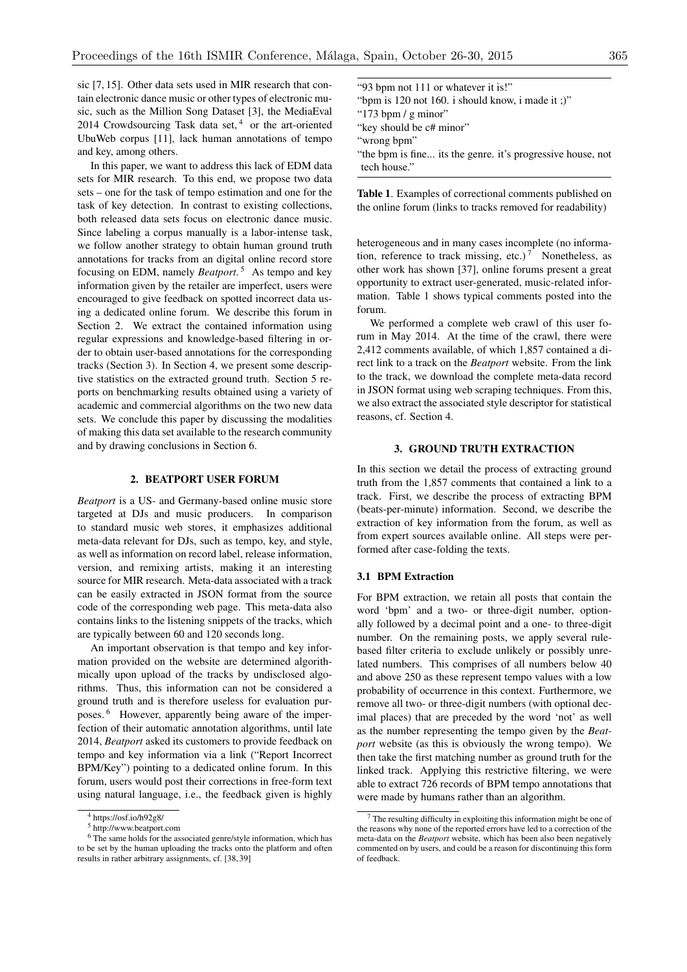sic [7, 15]. Other data sets used in MIR research that contain electronic dance music or other types of electronic music, such as the Million Song Dataset [3], the MediaEval 2014 Crowdsourcing Task data set,<sup>4</sup> or the art-oriented UbuWeb corpus [11], lack human annotations of tempo and key, among others.

In this paper, we want to address this lack of EDM data sets for MIR research. To this end, we propose two data sets – one for the task of tempo estimation and one for the task of key detection. In contrast to existing collections, both released data sets focus on electronic dance music. Since labeling a corpus manually is a labor-intense task, we follow another strategy to obtain human ground truth annotations for tracks from an digital online record store focusing on EDM, namely *Beatport*. <sup>5</sup> As tempo and key information given by the retailer are imperfect, users were encouraged to give feedback on spotted incorrect data using a dedicated online forum. We describe this forum in Section 2. We extract the contained information using regular expressions and knowledge-based filtering in order to obtain user-based annotations for the corresponding tracks (Section 3). In Section 4, we present some descriptive statistics on the extracted ground truth. Section 5 reports on benchmarking results obtained using a variety of academic and commercial algorithms on the two new data sets. We conclude this paper by discussing the modalities of making this data set available to the research community and by drawing conclusions in Section 6.

# 2. BEATPORT USER FORUM

*Beatport* is a US- and Germany-based online music store targeted at DJs and music producers. In comparison to standard music web stores, it emphasizes additional meta-data relevant for DJs, such as tempo, key, and style, as well as information on record label, release information, version, and remixing artists, making it an interesting source for MIR research. Meta-data associated with a track can be easily extracted in JSON format from the source code of the corresponding web page. This meta-data also contains links to the listening snippets of the tracks, which are typically between 60 and 120 seconds long.

An important observation is that tempo and key information provided on the website are determined algorithmically upon upload of the tracks by undisclosed algorithms. Thus, this information can not be considered a ground truth and is therefore useless for evaluation purposes. <sup>6</sup> However, apparently being aware of the imperfection of their automatic annotation algorithms, until late 2014, *Beatport* asked its customers to provide feedback on tempo and key information via a link ("Report Incorrect BPM/Key") pointing to a dedicated online forum. In this forum, users would post their corrections in free-form text using natural language, i.e., the feedback given is highly

| "93 bpm not 111 or whatever it is!"                         |
|-------------------------------------------------------------|
| "bpm is 120 not 160. i should know, i made it :)"           |
| "173 bpm $/$ g minor"                                       |
| "key should be c# minor"                                    |
| "wrong bpm"                                                 |
| "the bpm is fine its the genre. it's progressive house, not |
| tech house."                                                |

Table 1. Examples of correctional comments published on the online forum (links to tracks removed for readability)

heterogeneous and in many cases incomplete (no information, reference to track missing, etc.)<sup>7</sup> Nonetheless, as other work has shown [37], online forums present a great opportunity to extract user-generated, music-related information. Table 1 shows typical comments posted into the forum.

We performed a complete web crawl of this user forum in May 2014. At the time of the crawl, there were 2,412 comments available, of which 1,857 contained a direct link to a track on the *Beatport* website. From the link to the track, we download the complete meta-data record in JSON format using web scraping techniques. From this, we also extract the associated style descriptor for statistical reasons, cf. Section 4.

# 3. GROUND TRUTH EXTRACTION

In this section we detail the process of extracting ground truth from the 1,857 comments that contained a link to a track. First, we describe the process of extracting BPM (beats-per-minute) information. Second, we describe the extraction of key information from the forum, as well as from expert sources available online. All steps were performed after case-folding the texts.

# 3.1 BPM Extraction

For BPM extraction, we retain all posts that contain the word 'bpm' and a two- or three-digit number, optionally followed by a decimal point and a one- to three-digit number. On the remaining posts, we apply several rulebased filter criteria to exclude unlikely or possibly unrelated numbers. This comprises of all numbers below 40 and above 250 as these represent tempo values with a low probability of occurrence in this context. Furthermore, we remove all two- or three-digit numbers (with optional decimal places) that are preceded by the word 'not' as well as the number representing the tempo given by the *Beatport* website (as this is obviously the wrong tempo). We then take the first matching number as ground truth for the linked track. Applying this restrictive filtering, we were able to extract 726 records of BPM tempo annotations that were made by humans rather than an algorithm.

<sup>4</sup> https://osf.io/h92g8/

<sup>5</sup> http://www.beatport.com

<sup>&</sup>lt;sup>6</sup> The same holds for the associated genre/style information, which has to be set by the human uploading the tracks onto the platform and often results in rather arbitrary assignments, cf. [38, 39]

<sup>7</sup> The resulting difficulty in exploiting this information might be one of the reasons why none of the reported errors have led to a correction of the meta-data on the *Beatport* website, which has been also been negatively commented on by users, and could be a reason for discontinuing this form of feedback.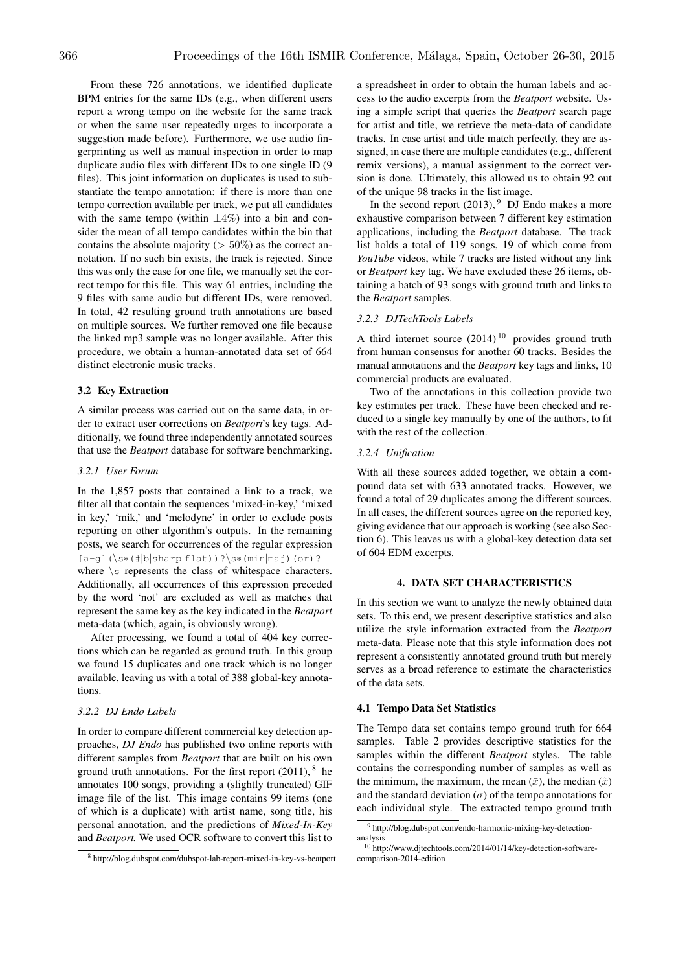From these 726 annotations, we identified duplicate BPM entries for the same IDs (e.g., when different users report a wrong tempo on the website for the same track or when the same user repeatedly urges to incorporate a suggestion made before). Furthermore, we use audio fingerprinting as well as manual inspection in order to map duplicate audio files with different IDs to one single ID (9 files). This joint information on duplicates is used to substantiate the tempo annotation: if there is more than one tempo correction available per track, we put all candidates with the same tempo (within  $\pm 4\%$ ) into a bin and consider the mean of all tempo candidates within the bin that contains the absolute majority (*>* 50%) as the correct annotation. If no such bin exists, the track is rejected. Since this was only the case for one file, we manually set the correct tempo for this file. This way 61 entries, including the 9 files with same audio but different IDs, were removed. In total, 42 resulting ground truth annotations are based on multiple sources. We further removed one file because the linked mp3 sample was no longer available. After this procedure, we obtain a human-annotated data set of 664 distinct electronic music tracks.

#### 3.2 Key Extraction

A similar process was carried out on the same data, in order to extract user corrections on *Beatport*'s key tags. Additionally, we found three independently annotated sources that use the *Beatport* database for software benchmarking.

# *3.2.1 User Forum*

In the 1,857 posts that contained a link to a track, we filter all that contain the sequences 'mixed-in-key,' 'mixed in key,' 'mik,' and 'melodyne' in order to exclude posts reporting on other algorithm's outputs. In the remaining posts, we search for occurrences of the regular expression  $[a-q](\s*(\#b|sharp|flat))$ ? $\s*(min|maj)(or)$ ? where *\*s represents the class of whitespace characters. Additionally, all occurrences of this expression preceded by the word 'not' are excluded as well as matches that represent the same key as the key indicated in the *Beatport* meta-data (which, again, is obviously wrong).

After processing, we found a total of 404 key corrections which can be regarded as ground truth. In this group we found 15 duplicates and one track which is no longer available, leaving us with a total of 388 global-key annotations.

#### *3.2.2 DJ Endo Labels*

In order to compare different commercial key detection approaches, *DJ Endo* has published two online reports with different samples from *Beatport* that are built on his own ground truth annotations. For the first report  $(2011)$ ,  $^8$  he annotates 100 songs, providing a (slightly truncated) GIF image file of the list. This image contains 99 items (one of which is a duplicate) with artist name, song title, his personal annotation, and the predictions of *Mixed-In-Key* and *Beatport*. We used OCR software to convert this list to

a spreadsheet in order to obtain the human labels and access to the audio excerpts from the *Beatport* website. Using a simple script that queries the *Beatport* search page for artist and title, we retrieve the meta-data of candidate tracks. In case artist and title match perfectly, they are assigned, in case there are multiple candidates (e.g., different remix versions), a manual assignment to the correct version is done. Ultimately, this allowed us to obtain 92 out of the unique 98 tracks in the list image.

In the second report  $(2013)$ , <sup>9</sup> DJ Endo makes a more exhaustive comparison between 7 different key estimation applications, including the *Beatport* database. The track list holds a total of 119 songs, 19 of which come from *YouTube* videos, while 7 tracks are listed without any link or *Beatport* key tag. We have excluded these 26 items, obtaining a batch of 93 songs with ground truth and links to the *Beatport* samples.

#### *3.2.3 DJTechTools Labels*

A third internet source  $(2014)$ <sup>10</sup> provides ground truth from human consensus for another 60 tracks. Besides the manual annotations and the *Beatport* key tags and links, 10 commercial products are evaluated.

Two of the annotations in this collection provide two key estimates per track. These have been checked and reduced to a single key manually by one of the authors, to fit with the rest of the collection.

#### *3.2.4 Unification*

With all these sources added together, we obtain a compound data set with 633 annotated tracks. However, we found a total of 29 duplicates among the different sources. In all cases, the different sources agree on the reported key, giving evidence that our approach is working (see also Section 6). This leaves us with a global-key detection data set of 604 EDM excerpts.

# 4. DATA SET CHARACTERISTICS

In this section we want to analyze the newly obtained data sets. To this end, we present descriptive statistics and also utilize the style information extracted from the *Beatport* meta-data. Please note that this style information does not represent a consistently annotated ground truth but merely serves as a broad reference to estimate the characteristics of the data sets.

#### 4.1 Tempo Data Set Statistics

The Tempo data set contains tempo ground truth for 664 samples. Table 2 provides descriptive statistics for the samples within the different *Beatport* styles. The table contains the corresponding number of samples as well as the minimum, the maximum, the mean  $(\bar{x})$ , the median  $(\tilde{x})$ and the standard deviation ( $\sigma$ ) of the tempo annotations for each individual style. The extracted tempo ground truth

<sup>8</sup> http://blog.dubspot.com/dubspot-lab-report-mixed-in-key-vs-beatport

<sup>9</sup> http://blog.dubspot.com/endo-harmonic-mixing-key-detectionanalysis

<sup>10</sup> http://www.djtechtools.com/2014/01/14/key-detection-softwarecomparison-2014-edition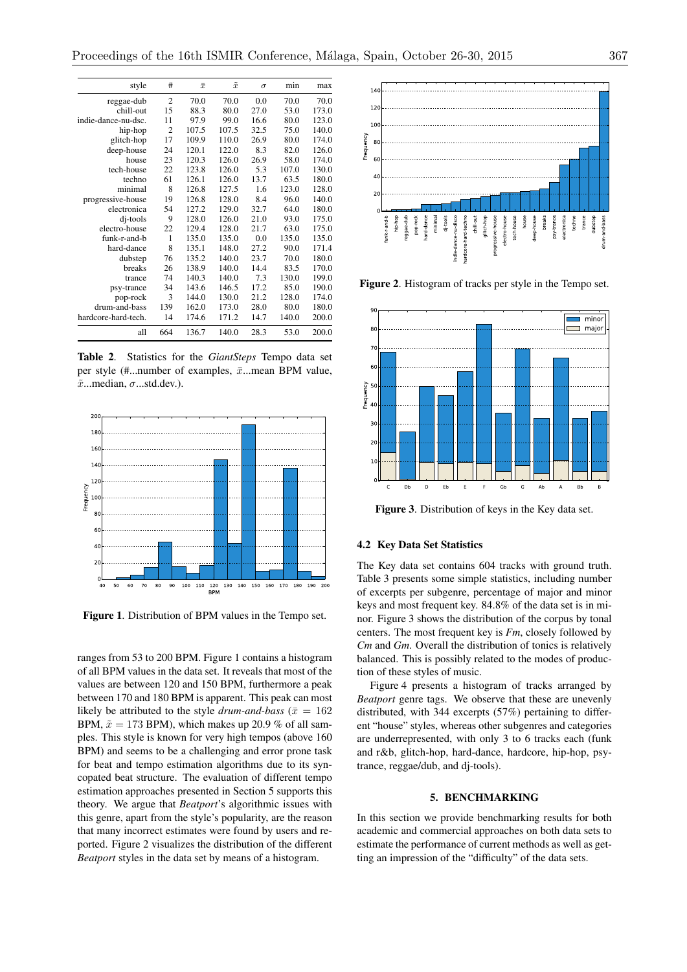| style               | #              | $\bar{x}$ | $\tilde{x}$ | $\sigma$ | min   | max   |
|---------------------|----------------|-----------|-------------|----------|-------|-------|
| reggae-dub          | $\overline{2}$ | 70.0      | 70.0        | 0.0      | 70.0  | 70.0  |
| chill-out           | 15             | 88.3      | 80.0        | 27.0     | 53.0  | 173.0 |
| indie-dance-nu-dsc. | 11             | 97.9      | 99.0        | 16.6     | 80.0  | 123.0 |
| hip-hop             | $\overline{2}$ | 107.5     | 107.5       | 32.5     | 75.0  | 140.0 |
| glitch-hop          | 17             | 109.9     | 110.0       | 26.9     | 80.0  | 174.0 |
| deep-house          | 24             | 120.1     | 122.0       | 8.3      | 82.0  | 126.0 |
| house               | 23             | 120.3     | 126.0       | 26.9     | 58.0  | 174.0 |
| tech-house          | 22             | 123.8     | 126.0       | 5.3      | 107.0 | 130.0 |
| techno              | 61             | 126.1     | 126.0       | 13.7     | 63.5  | 180.0 |
| minimal             | 8              | 126.8     | 127.5       | 1.6      | 123.0 | 128.0 |
| progressive-house   | 19             | 126.8     | 128.0       | 8.4      | 96.0  | 140.0 |
| electronica         | 54             | 127.2     | 129.0       | 32.7     | 64.0  | 180.0 |
| dj-tools            | 9              | 128.0     | 126.0       | 21.0     | 93.0  | 175.0 |
| electro-house       | 22             | 129.4     | 128.0       | 21.7     | 63.0  | 175.0 |
| funk-r-and-b        | 1              | 135.0     | 135.0       | 0.0      | 135.0 | 135.0 |
| hard-dance          | 8              | 135.1     | 148.0       | 27.2     | 90.0  | 171.4 |
| dubstep             | 76             | 135.2     | 140.0       | 23.7     | 70.0  | 180.0 |
| breaks              | 26             | 138.9     | 140.0       | 14.4     | 83.5  | 170.0 |
| trance              | 74             | 140.3     | 140.0       | 7.3      | 130.0 | 199.0 |
| psy-trance          | 34             | 143.6     | 146.5       | 17.2     | 85.0  | 190.0 |
| pop-rock            | 3              | 144.0     | 130.0       | 21.2     | 128.0 | 174.0 |
| drum-and-bass       | 139            | 162.0     | 173.0       | 28.0     | 80.0  | 180.0 |
| hardcore-hard-tech. | 14             | 174.6     | 171.2       | 14.7     | 140.0 | 200.0 |
| all                 | 664            | 136.7     | 140.0       | 28.3     | 53.0  | 200.0 |

Table 2. Statistics for the *GiantSteps* Tempo data set per style (#...number of examples,  $\bar{x}$ ...mean BPM value,  $\tilde{x}$ ...median,  $\sigma$ ...std.dev.).



Figure 1. Distribution of BPM values in the Tempo set.

ranges from 53 to 200 BPM. Figure 1 contains a histogram of all BPM values in the data set. It reveals that most of the values are between 120 and 150 BPM, furthermore a peak between 170 and 180 BPM is apparent. This peak can most likely be attributed to the style *drum-and-bass* ( $\bar{x} = 162$ BPM,  $\tilde{x} = 173$  BPM), which makes up 20.9 % of all samples. This style is known for very high tempos (above 160 BPM) and seems to be a challenging and error prone task for beat and tempo estimation algorithms due to its syncopated beat structure. The evaluation of different tempo estimation approaches presented in Section 5 supports this theory. We argue that *Beatport*'s algorithmic issues with this genre, apart from the style's popularity, are the reason that many incorrect estimates were found by users and reported. Figure 2 visualizes the distribution of the different *Beatport* styles in the data set by means of a histogram.



Figure 2. Histogram of tracks per style in the Tempo set.



Figure 3. Distribution of keys in the Key data set.

## 4.2 Key Data Set Statistics

The Key data set contains 604 tracks with ground truth. Table 3 presents some simple statistics, including number of excerpts per subgenre, percentage of major and minor keys and most frequent key. 84.8% of the data set is in minor. Figure 3 shows the distribution of the corpus by tonal centers. The most frequent key is *Fm*, closely followed by *Cm* and *Gm*. Overall the distribution of tonics is relatively balanced. This is possibly related to the modes of production of these styles of music.

Figure 4 presents a histogram of tracks arranged by *Beatport* genre tags. We observe that these are unevenly distributed, with 344 excerpts (57%) pertaining to different "house" styles, whereas other subgenres and categories are underrepresented, with only 3 to 6 tracks each (funk and r&b, glitch-hop, hard-dance, hardcore, hip-hop, psytrance, reggae/dub, and dj-tools).

# 5. BENCHMARKING

In this section we provide benchmarking results for both academic and commercial approaches on both data sets to estimate the performance of current methods as well as getting an impression of the "difficulty" of the data sets.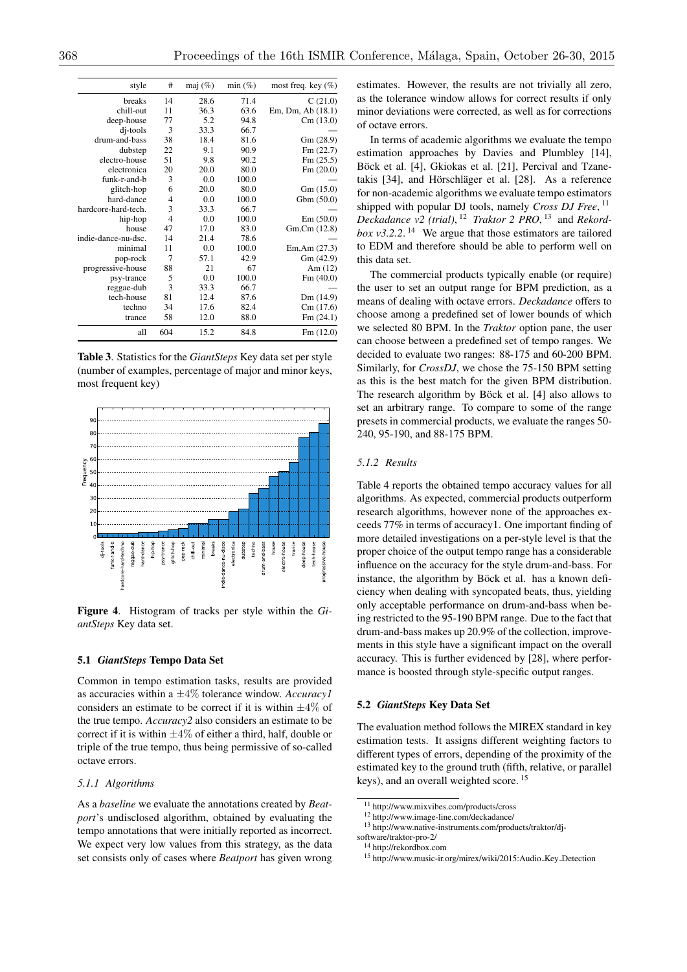| style               | #              | maj $(\%)$ | $min(\%)$ | most freq. key $(\% )$ |
|---------------------|----------------|------------|-----------|------------------------|
| breaks              | 14             | 28.6       | 71.4      | C(21.0)                |
| chill-out           | 11             | 36.3       | 63.6      | Em, Dm, Ab (18.1)      |
| deep-house          | 77             | 5.2        | 94.8      | Cm(13.0)               |
| dj-tools            | 3              | 33.3       | 66.7      |                        |
| drum-and-bass       | 38             | 18.4       | 81.6      | Gm (28.9)              |
| dubstep             | 22             | 9.1        | 90.9      | Fm(22.7)               |
| electro-house       | 51             | 9.8        | 90.2      | Fm(25.5)               |
| electronica         | 20             | 20.0       | 80.0      | Fm(20.0)               |
| funk-r-and-b        | 3              | 0.0        | 100.0     |                        |
| glitch-hop          | 6              | 20.0       | 80.0      | Gm(15.0)               |
| hard-dance          | $\overline{4}$ | 0.0        | 100.0     | Gbm (50.0)             |
| hardcore-hard-tech. | 3              | 33.3       | 66.7      |                        |
| hip-hop             | $\overline{4}$ | 0.0        | 100.0     | Em(50.0)               |
| house               | 47             | 17.0       | 83.0      | Gm, Cm (12.8)          |
| indie-dance-nu-dsc. | 14             | 21.4       | 78.6      |                        |
| minimal             | 11             | 0.0        | 100.0     | Em, Am (27.3)          |
| pop-rock            | 7              | 57.1       | 42.9      | Gm (42.9)              |
| progressive-house   | 88             | 21         | 67        | Am $(12)$              |
| psy-trance          | 5              | 0.0        | 100.0     | Fm(40.0)               |
| reggae-dub          | 3              | 33.3       | 66.7      |                        |
| tech-house          | 81             | 12.4       | 87.6      | Dm (14.9)              |
| techno              | 34             | 17.6       | 82.4      | Cm(17.6)               |
| trance              | 58             | 12.0       | 88.0      | Fm(24.1)               |
| all                 | 604            | 15.2       | 84.8      | Fm(12.0)               |

Table 3. Statistics for the *GiantSteps* Key data set per style (number of examples, percentage of major and minor keys, most frequent key)



Figure 4. Histogram of tracks per style within the *GiantSteps* Key data set.

#### 5.1 *GiantSteps* Tempo Data Set

Common in tempo estimation tasks, results are provided as accuracies within a *±*4% tolerance window. *Accuracy1* considers an estimate to be correct if it is within *±*4% of the true tempo. *Accuracy2* also considers an estimate to be correct if it is within *±*4% of either a third, half, double or triple of the true tempo, thus being permissive of so-called octave errors.

# *5.1.1 Algorithms*

As a *baseline* we evaluate the annotations created by *Beatport*'s undisclosed algorithm, obtained by evaluating the tempo annotations that were initially reported as incorrect. We expect very low values from this strategy, as the data set consists only of cases where *Beatport* has given wrong estimates. However, the results are not trivially all zero, as the tolerance window allows for correct results if only minor deviations were corrected, as well as for corrections of octave errors.

In terms of academic algorithms we evaluate the tempo estimation approaches by Davies and Plumbley [14], Böck et al. [4], Gkiokas et al. [21], Percival and Tzanetakis  $[34]$ , and Hörschläger et al.  $[28]$ . As a reference for non-academic algorithms we evaluate tempo estimators shipped with popular DJ tools, namely *Cross DJ Free*, <sup>11</sup> *Deckadance v2 (trial)*, <sup>12</sup> *Traktor 2 PRO*, <sup>13</sup> and *Rekordbox v3.2.2.* <sup>14</sup> We argue that those estimators are tailored to EDM and therefore should be able to perform well on this data set.

The commercial products typically enable (or require) the user to set an output range for BPM prediction, as a means of dealing with octave errors. *Deckadance* offers to choose among a predefined set of lower bounds of which we selected 80 BPM. In the *Traktor* option pane, the user can choose between a predefined set of tempo ranges. We decided to evaluate two ranges: 88-175 and 60-200 BPM. Similarly, for *CrossDJ*, we chose the 75-150 BPM setting as this is the best match for the given BPM distribution. The research algorithm by Böck et al. [4] also allows to set an arbitrary range. To compare to some of the range presets in commercial products, we evaluate the ranges 50- 240, 95-190, and 88-175 BPM.

## *5.1.2 Results*

Table 4 reports the obtained tempo accuracy values for all algorithms. As expected, commercial products outperform research algorithms, however none of the approaches exceeds 77% in terms of accuracy1. One important finding of more detailed investigations on a per-style level is that the proper choice of the output tempo range has a considerable influence on the accuracy for the style drum-and-bass. For instance, the algorithm by Böck et al. has a known deficiency when dealing with syncopated beats, thus, yielding only acceptable performance on drum-and-bass when being restricted to the 95-190 BPM range. Due to the fact that drum-and-bass makes up 20.9% of the collection, improvements in this style have a significant impact on the overall accuracy. This is further evidenced by [28], where performance is boosted through style-specific output ranges.

#### 5.2 *GiantSteps* Key Data Set

The evaluation method follows the MIREX standard in key estimation tests. It assigns different weighting factors to different types of errors, depending of the proximity of the estimated key to the ground truth (fifth, relative, or parallel keys), and an overall weighted score. <sup>15</sup>

<sup>11</sup> http://www.mixvibes.com/products/cross

<sup>12</sup> http://www.image-line.com/deckadance/

<sup>13</sup> http://www.native-instruments.com/products/traktor/dj-

software/traktor-pro-2/

<sup>14</sup> http://rekordbox.com

<sup>15</sup> http://www.music-ir.org/mirex/wiki/2015:Audio Key Detection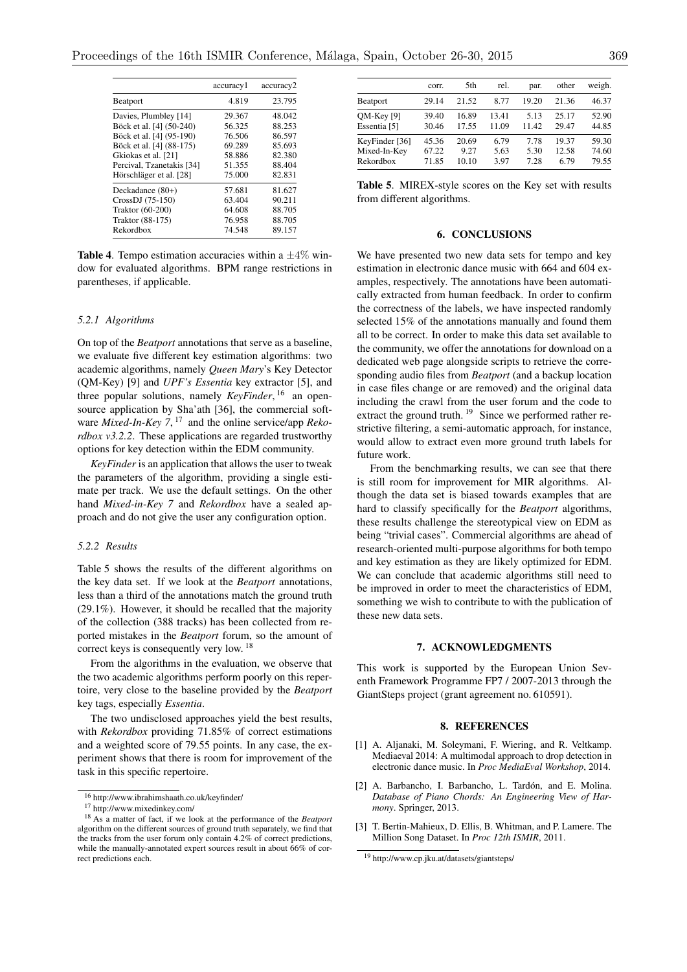|                           | accuracy1 | accuracy2 |
|---------------------------|-----------|-----------|
| Beatport                  | 4.819     | 23.795    |
| Davies, Plumbley [14]     | 29.367    | 48.042    |
| Böck et al. [4] (50-240)  | 56.325    | 88.253    |
| Böck et al. [4] (95-190)  | 76.506    | 86.597    |
| Böck et al. [4] (88-175)  | 69.289    | 85.693    |
| Gkiokas et al. [21]       | 58.886    | 82.380    |
| Percival, Tzanetakis [34] | 51.355    | 88.404    |
| Hörschläger et al. [28]   | 75.000    | 82.831    |
| Deckadance (80+)          | 57.681    | 81.627    |
| $CrossDJ (75-150)$        | 63.404    | 90.211    |
| <b>Traktor</b> (60-200)   | 64.608    | 88.705    |
| Traktor (88-175)          | 76.958    | 88.705    |
| Rekordbox                 | 74.548    | 89.157    |

**Table 4.** Tempo estimation accuracies within a  $\pm 4\%$  window for evaluated algorithms. BPM range restrictions in parentheses, if applicable.

## *5.2.1 Algorithms*

On top of the *Beatport* annotations that serve as a baseline, we evaluate five different key estimation algorithms: two academic algorithms, namely *Queen Mary*'s Key Detector (QM-Key) [9] and *UPF's Essentia* key extractor [5], and three popular solutions, namely *KeyFinder*, <sup>16</sup> an opensource application by Sha'ath [36], the commercial software *Mixed-In-Key* 7, <sup>17</sup> and the online service/app *Rekordbox v3.2.2*. These applications are regarded trustworthy options for key detection within the EDM community.

*KeyFinder* is an application that allows the user to tweak the parameters of the algorithm, providing a single estimate per track. We use the default settings. On the other hand *Mixed-in-Key 7* and *Rekordbox* have a sealed approach and do not give the user any configuration option.

#### *5.2.2 Results*

Table 5 shows the results of the different algorithms on the key data set. If we look at the *Beatport* annotations, less than a third of the annotations match the ground truth (29.1%). However, it should be recalled that the majority of the collection (388 tracks) has been collected from reported mistakes in the *Beatport* forum, so the amount of correct keys is consequently very low. <sup>18</sup>

From the algorithms in the evaluation, we observe that the two academic algorithms perform poorly on this repertoire, very close to the baseline provided by the *Beatport* key tags, especially *Essentia*.

The two undisclosed approaches yield the best results, with *Rekordbox* providing 71.85% of correct estimations and a weighted score of 79.55 points. In any case, the experiment shows that there is room for improvement of the task in this specific repertoire.

|                                             | corr.                   | 5th                    | rel.                 | par.                 | other                  | weigh.                  |
|---------------------------------------------|-------------------------|------------------------|----------------------|----------------------|------------------------|-------------------------|
| <b>Beatport</b>                             | 29.14                   | 21.52                  | 8.77                 | 19.20                | 21.36                  | 46.37                   |
| $QM$ -Key $[9]$<br>Essentia [5]             | 39.40<br>30.46          | 16.89<br>17.55         | 13.41<br>11.09       | 5.13<br>11.42        | 25.17<br>29.47         | 52.90<br>44.85          |
| KeyFinder [36]<br>Mixed-In-Key<br>Rekordbox | 45.36<br>67.22<br>71.85 | 20.69<br>9.27<br>10.10 | 6.79<br>5.63<br>3.97 | 7.78<br>5.30<br>7.28 | 19.37<br>12.58<br>6.79 | 59.30<br>74.60<br>79.55 |

Table 5. MIREX-style scores on the Key set with results from different algorithms.

#### 6. CONCLUSIONS

We have presented two new data sets for tempo and key estimation in electronic dance music with 664 and 604 examples, respectively. The annotations have been automatically extracted from human feedback. In order to confirm the correctness of the labels, we have inspected randomly selected 15% of the annotations manually and found them all to be correct. In order to make this data set available to the community, we offer the annotations for download on a dedicated web page alongside scripts to retrieve the corresponding audio files from *Beatport* (and a backup location in case files change or are removed) and the original data including the crawl from the user forum and the code to extract the ground truth. <sup>19</sup> Since we performed rather restrictive filtering, a semi-automatic approach, for instance, would allow to extract even more ground truth labels for future work.

From the benchmarking results, we can see that there is still room for improvement for MIR algorithms. Although the data set is biased towards examples that are hard to classify specifically for the *Beatport* algorithms, these results challenge the stereotypical view on EDM as being "trivial cases". Commercial algorithms are ahead of research-oriented multi-purpose algorithms for both tempo and key estimation as they are likely optimized for EDM. We can conclude that academic algorithms still need to be improved in order to meet the characteristics of EDM, something we wish to contribute to with the publication of these new data sets.

#### 7. ACKNOWLEDGMENTS

This work is supported by the European Union Seventh Framework Programme FP7 / 2007-2013 through the GiantSteps project (grant agreement no. 610591).

#### 8. REFERENCES

- [1] A. Aljanaki, M. Soleymani, F. Wiering, and R. Veltkamp. Mediaeval 2014: A multimodal approach to drop detection in electronic dance music. In *Proc MediaEval Workshop*, 2014.
- [2] A. Barbancho, I. Barbancho, L. Tardón, and E. Molina. *Database of Piano Chords: An Engineering View of Harmony*. Springer, 2013.
- [3] T. Bertin-Mahieux, D. Ellis, B. Whitman, and P. Lamere. The Million Song Dataset. In *Proc 12th ISMIR*, 2011.

<sup>16</sup> http://www.ibrahimshaath.co.uk/keyfinder/

<sup>17</sup> http://www.mixedinkey.com/

<sup>18</sup> As a matter of fact, if we look at the performance of the *Beatport* algorithm on the different sources of ground truth separately, we find that the tracks from the user forum only contain 4.2% of correct predictions, while the manually-annotated expert sources result in about 66% of correct predictions each.

<sup>19</sup> http://www.cp.jku.at/datasets/giantsteps/